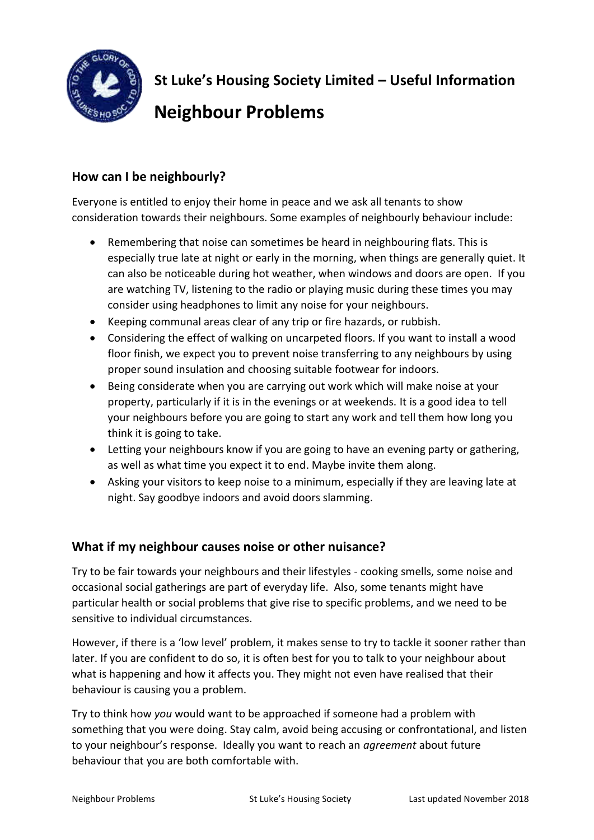

**St Luke's Housing Society Limited – Useful Information Neighbour Problems**

# **How can I be neighbourly?**

Everyone is entitled to enjoy their home in peace and we ask all tenants to show consideration towards their neighbours. Some examples of neighbourly behaviour include:

- Remembering that noise can sometimes be heard in neighbouring flats. This is especially true late at night or early in the morning, when things are generally quiet. It can also be noticeable during hot weather, when windows and doors are open. If you are watching TV, listening to the radio or playing music during these times you may consider using headphones to limit any noise for your neighbours.
- Keeping communal areas clear of any trip or fire hazards, or rubbish.
- Considering the effect of walking on uncarpeted floors. If you want to install a wood floor finish, we expect you to prevent noise transferring to any neighbours by using proper sound insulation and choosing suitable footwear for indoors.
- Being considerate when you are carrying out work which will make noise at your property, particularly if it is in the evenings or at weekends. It is a good idea to tell your neighbours before you are going to start any work and tell them how long you think it is going to take.
- Letting your neighbours know if you are going to have an evening party or gathering, as well as what time you expect it to end. Maybe invite them along.
- Asking your visitors to keep noise to a minimum, especially if they are leaving late at night. Say goodbye indoors and avoid doors slamming.

## **What if my neighbour causes noise or other nuisance?**

Try to be fair towards your neighbours and their lifestyles - cooking smells, some noise and occasional social gatherings are part of everyday life. Also, some tenants might have particular health or social problems that give rise to specific problems, and we need to be sensitive to individual circumstances.

However, if there is a 'low level' problem, it makes sense to try to tackle it sooner rather than later. If you are confident to do so, it is often best for you to talk to your neighbour about what is happening and how it affects you. They might not even have realised that their behaviour is causing you a problem.

Try to think how *you* would want to be approached if someone had a problem with something that you were doing. Stay calm, avoid being accusing or confrontational, and listen to your neighbour's response. Ideally you want to reach an *agreement* about future behaviour that you are both comfortable with.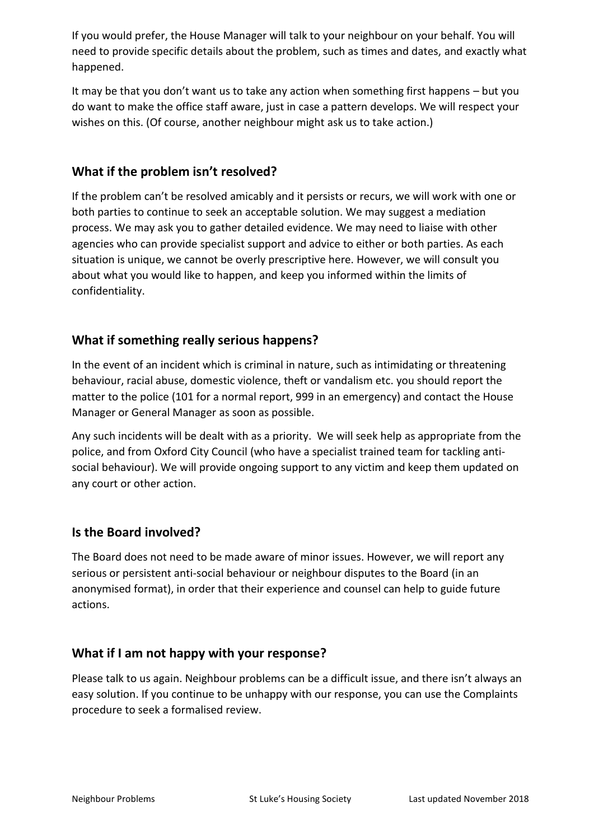If you would prefer, the House Manager will talk to your neighbour on your behalf. You will need to provide specific details about the problem, such as times and dates, and exactly what happened.

It may be that you don't want us to take any action when something first happens – but you do want to make the office staff aware, just in case a pattern develops. We will respect your wishes on this. (Of course, another neighbour might ask us to take action.)

## **What if the problem isn't resolved?**

If the problem can't be resolved amicably and it persists or recurs, we will work with one or both parties to continue to seek an acceptable solution. We may suggest a mediation process. We may ask you to gather detailed evidence. We may need to liaise with other agencies who can provide specialist support and advice to either or both parties. As each situation is unique, we cannot be overly prescriptive here. However, we will consult you about what you would like to happen, and keep you informed within the limits of confidentiality.

## **What if something really serious happens?**

In the event of an incident which is criminal in nature, such as intimidating or threatening behaviour, racial abuse, domestic violence, theft or vandalism etc. you should report the matter to the police (101 for a normal report, 999 in an emergency) and contact the House Manager or General Manager as soon as possible.

Any such incidents will be dealt with as a priority. We will seek help as appropriate from the police, and from Oxford City Council (who have a specialist trained team for tackling antisocial behaviour). We will provide ongoing support to any victim and keep them updated on any court or other action.

### **Is the Board involved?**

The Board does not need to be made aware of minor issues. However, we will report any serious or persistent anti-social behaviour or neighbour disputes to the Board (in an anonymised format), in order that their experience and counsel can help to guide future actions.

### **What if I am not happy with your response?**

Please talk to us again. Neighbour problems can be a difficult issue, and there isn't always an easy solution. If you continue to be unhappy with our response, you can use the Complaints procedure to seek a formalised review.